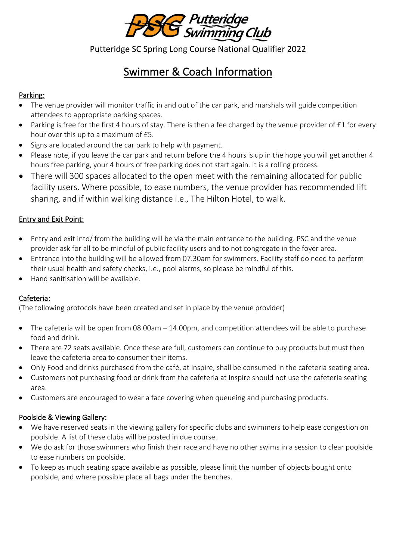

Putteridge SC Spring Long Course National Qualifier 2022

# Swimmer & Coach Information

# Parking:

- The venue provider will monitor traffic in and out of the car park, and marshals will guide competition attendees to appropriate parking spaces.
- Parking is free for the first 4 hours of stay. There is then a fee charged by the venue provider of £1 for every hour over this up to a maximum of £5.
- Signs are located around the car park to help with payment.
- Please note, if you leave the car park and return before the 4 hours is up in the hope you will get another 4 hours free parking, your 4 hours of free parking does not start again. It is a rolling process.
- There will 300 spaces allocated to the open meet with the remaining allocated for public facility users. Where possible, to ease numbers, the venue provider has recommended lift sharing, and if within walking distance i.e., The Hilton Hotel, to walk.

# Entry and Exit Point:

- Entry and exit into/ from the building will be via the main entrance to the building. PSC and the venue provider ask for all to be mindful of public facility users and to not congregate in the foyer area.
- Entrance into the building will be allowed from 07.30am for swimmers. Facility staff do need to perform their usual health and safety checks, i.e., pool alarms, so please be mindful of this.
- Hand sanitisation will be available.

# Cafeteria:

(The following protocols have been created and set in place by the venue provider)

- The cafeteria will be open from 08.00am 14.00pm, and competition attendees will be able to purchase food and drink.
- There are 72 seats available. Once these are full, customers can continue to buy products but must then leave the cafeteria area to consumer their items.
- Only Food and drinks purchased from the café, at Inspire, shall be consumed in the cafeteria seating area.
- Customers not purchasing food or drink from the cafeteria at Inspire should not use the cafeteria seating area.
- Customers are encouraged to wear a face covering when queueing and purchasing products.

# Poolside & Viewing Gallery:

- We have reserved seats in the viewing gallery for specific clubs and swimmers to help ease congestion on poolside. A list of these clubs will be posted in due course.
- We do ask for those swimmers who finish their race and have no other swims in a session to clear poolside to ease numbers on poolside.
- To keep as much seating space available as possible, please limit the number of objects bought onto poolside, and where possible place all bags under the benches.